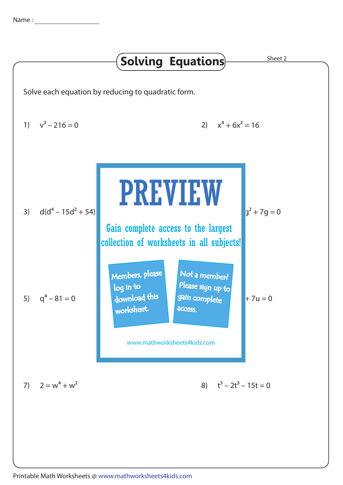